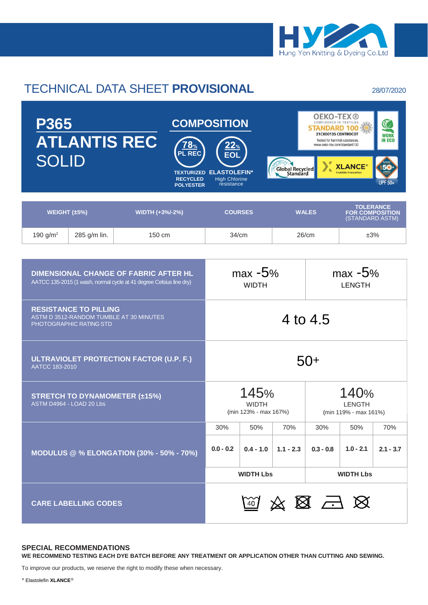

## TECHNICAL DATA SHEET **PROVISIONAL** 28/07/2020

| <b>P365</b><br><b>ATLANTIS REC</b><br><b>10%</b><br><b>PL REC</b><br><b>SOLID</b><br><b>RECYCLED</b><br><b>POLYESTER</b> |                             |                 |             | <b>COMPOSITION</b><br><b>EOL</b><br>Global Recycled<br><b>TEXTURIZED ELASTOLEFIN*</b><br><b>High Chlorine</b><br>resistance |                         |                                                                               | <b>OEKO-TEX®</b><br>$\mathbb{C}$<br>CONFIDENCE IN TEXTILES<br>STANDARD<br>21CX00135 CENTROCOT<br><b>WORK</b><br><b>IN ECO</b><br>Tested for harmful substances.<br>www.oeko-tex.com/standard100<br><b>XLANCE®</b><br>invisible innovation<br><b>UPF 50+</b> |             |     |  |
|--------------------------------------------------------------------------------------------------------------------------|-----------------------------|-----------------|-------------|-----------------------------------------------------------------------------------------------------------------------------|-------------------------|-------------------------------------------------------------------------------|-------------------------------------------------------------------------------------------------------------------------------------------------------------------------------------------------------------------------------------------------------------|-------------|-----|--|
| WEIGHT $(\pm 5\%)$                                                                                                       |                             | WIDTH (+3%/-2%) |             | <b>COURSES</b>                                                                                                              |                         | <b>TOLERANCE</b><br><b>WALES</b><br><b>FOR COMPOSITION</b><br>(STANDARD ASTM) |                                                                                                                                                                                                                                                             |             |     |  |
| 190 $g/m^2$                                                                                                              | 285 g/m lin.                | 150 cm          |             | 34/cm                                                                                                                       |                         |                                                                               | 26/cm                                                                                                                                                                                                                                                       | ±3%         |     |  |
|                                                                                                                          |                             |                 |             |                                                                                                                             |                         |                                                                               |                                                                                                                                                                                                                                                             |             |     |  |
| <b>DIMENSIONAL CHANGE OF FABRIC AFTER HL</b><br>AATCC 135-2015 (1 wash, normal cycle at 41 degree Celsius line dry)      |                             |                 |             | $max -5%$<br><b>WIDTH</b>                                                                                                   |                         |                                                                               | $max -5%$<br><b>LENGTH</b>                                                                                                                                                                                                                                  |             |     |  |
| <b>RESISTANCE TO PILLING</b><br>ASTM D 3512-RANDOM TUMBLE AT 30 MINUTES<br>PHOTOGRAPHIC RATING STD                       |                             |                 |             | 4 to 4.5                                                                                                                    |                         |                                                                               |                                                                                                                                                                                                                                                             |             |     |  |
| ULTRAVIOLET PROTECTION FACTOR (U.P. F.)<br>AATCC 183-2010                                                                |                             |                 |             | $50+$                                                                                                                       |                         |                                                                               |                                                                                                                                                                                                                                                             |             |     |  |
| <b>STRETCH TO DYNAMOMETER (±15%)</b><br>ASTM D4964 - LOAD 20 Lbs                                                         |                             |                 |             | 145%<br><b>WIDTH</b><br>(min 123% - max 167%)                                                                               |                         |                                                                               | 140%<br><b>LENGTH</b><br>(min 119% - max 161%)                                                                                                                                                                                                              |             |     |  |
|                                                                                                                          |                             |                 |             | 30%                                                                                                                         | 50%                     | 70%                                                                           | 30%                                                                                                                                                                                                                                                         | 50%         | 70% |  |
| <b>MODULUS @ % ELONGATION (30% - 50% - 70%)</b>                                                                          |                             |                 | $0.0 - 0.2$ |                                                                                                                             | $0.4 - 1.0$   1.1 - 2.3 | $0.3 - 0.8$                                                                   | $1.0 - 2.1$                                                                                                                                                                                                                                                 | $2.1 - 3.7$ |     |  |
|                                                                                                                          |                             |                 |             | <b>WIDTH Lbs</b>                                                                                                            |                         |                                                                               | <b>WIDTH Lbs</b>                                                                                                                                                                                                                                            |             |     |  |
|                                                                                                                          | <b>CARE LABELLING CODES</b> |                 |             |                                                                                                                             |                         |                                                                               | 网络图马区                                                                                                                                                                                                                                                       |             |     |  |

## **SPECIAL RECOMMENDATIONS**

**WE RECOMMEND TESTING EACH DYE BATCH BEFORE ANY TREATMENT OR APPLICATION OTHER THAN CUTTING AND SEWING.**

To improve our products, we reserve the right to modify these when necessary.

*\** Elastolefin **XLANCE**®